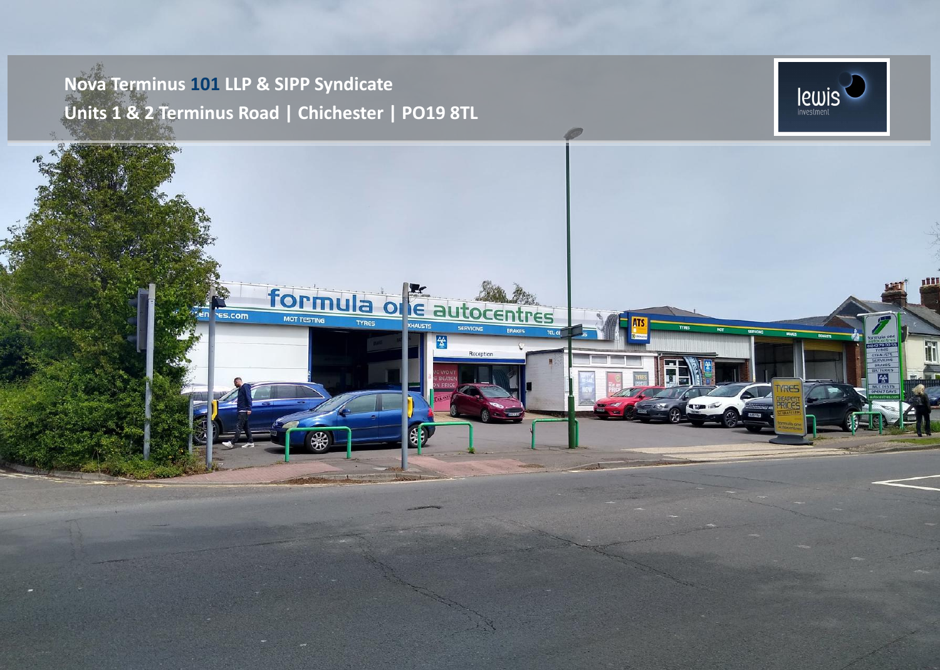## **Nova Terminus 101 LLP & SIPP Syndicate Units 1 & 2 Terminus Road | Chichester | PO19 8TL**



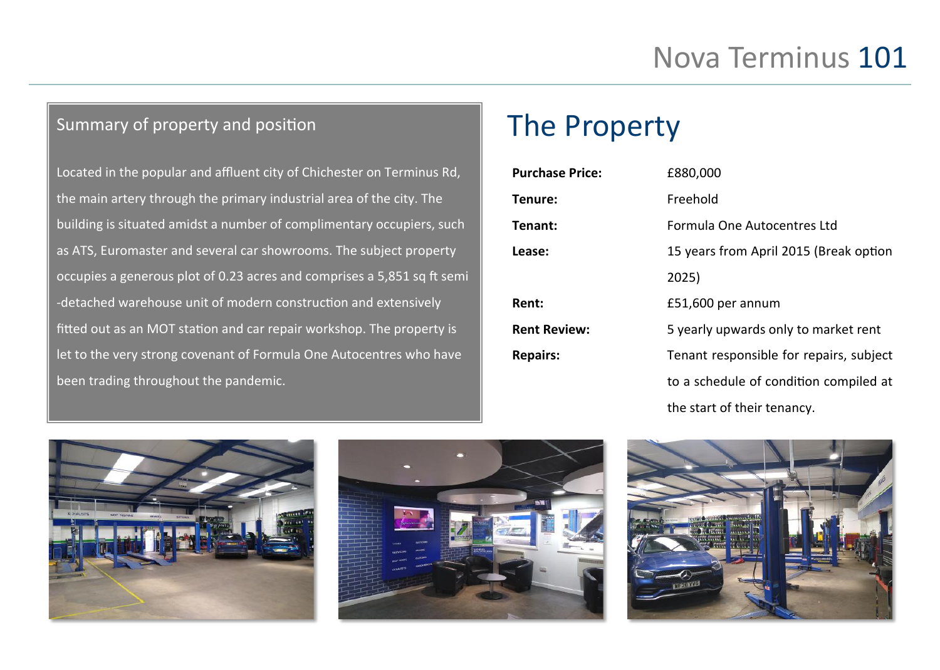## Summary of property and position

Located in the popular and affluent city of Chichester on Terminus Rd, the main artery through the primary industrial area of the city. The building is situated amidst a number of complimentary occupiers, such as ATS, Euromaster and several car showrooms. The subject property occupies a generous plot of 0.23 acres and comprises a 5,851 sq ft semi -detached warehouse unit of modern construction and extensively fitted out as an MOT station and car repair workshop. The property is let to the very strong covenant of Formula One Autocentres who have been trading throughout the pandemic.

## The Property

| <b>Purchase Price:</b> | £880,000                                |
|------------------------|-----------------------------------------|
| Tenure:                | Freehold                                |
| Tenant:                | Formula One Autocentres Ltd             |
| Lease:                 | 15 years from April 2015 (Break option  |
|                        | 2025)                                   |
| <b>Rent:</b>           | £51,600 per annum                       |
| <b>Rent Review:</b>    | 5 yearly upwards only to market rent    |
| <b>Repairs:</b>        | Tenant responsible for repairs, subject |
|                        | to a schedule of condition compiled at  |
|                        | the start of their tenancy.             |





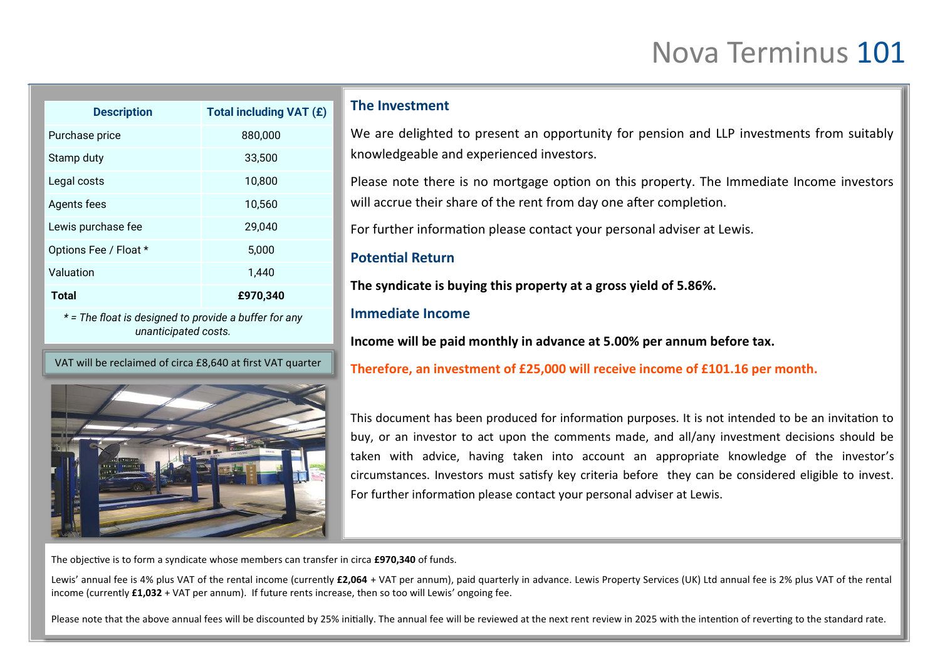# Nova Terminus 101

| <b>Description</b>                                                            | Total including VAT (£) |
|-------------------------------------------------------------------------------|-------------------------|
| Purchase price                                                                | 880,000                 |
| Stamp duty                                                                    | 33,500                  |
| Legal costs                                                                   | 10,800                  |
| Agents fees                                                                   | 10,560                  |
| Lewis purchase fee                                                            | 29,040                  |
| Options Fee / Float *                                                         | 5,000                   |
| Valuation                                                                     | 1,440                   |
| Total                                                                         | £970,340                |
| * = The float is designed to provide a buffer for any<br>unanticipated costs. |                         |

VAT will be reclaimed of circa £8,640 at first VAT quarter



### **The Investment**

We are delighted to present an opportunity for pension and LLP investments from suitably knowledgeable and experienced investors.

Please note there is no mortgage option on this property. The Immediate Income investors will accrue their share of the rent from day one after completion.

For further information please contact your personal adviser at Lewis.

## **Potential Return**

**The syndicate is buying this property at a gross yield of 5.86%.** 

## **Immediate Income**

**Income will be paid monthly in advance at 5.00% per annum before tax.** 

**Therefore, an investment of £25,000 will receive income of £101.16 per month.**

This document has been produced for information purposes. It is not intended to be an invitation to buy, or an investor to act upon the comments made, and all/any investment decisions should be taken with advice, having taken into account an appropriate knowledge of the investor's circumstances. Investors must satisfy key criteria before they can be considered eligible to invest. For further information please contact your personal adviser at Lewis.

The objective is to form a syndicate whose members can transfer in circa **£970,340** of funds.

Lewis' annual fee is 4% plus VAT of the rental income (currently £2,064 + VAT per annum), paid quarterly in advance. Lewis Property Services (UK) Ltd annual fee is 2% plus VAT of the rental income (currently **£1,032** + VAT per annum). If future rents increase, then so too will Lewis' ongoing fee.

Please note that the above annual fees will be discounted by 25% initially. The annual fee will be reviewed at the next rent review in 2025 with the intention of reverting to the standard rate.